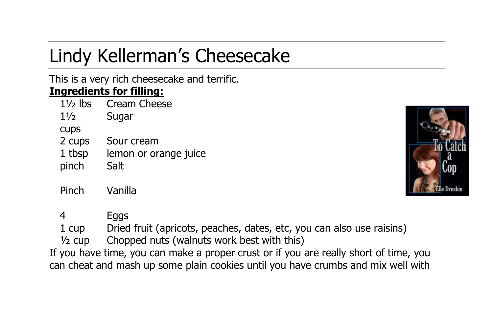## Lindy Kellerman's Cheesecake

## This is a very rich cheesecake and terrific. **Ingredients for filling:**

| $1\frac{1}{2}$ lbs | Cream Cheese          |
|--------------------|-----------------------|
| $1\frac{1}{2}$     | Sugar                 |
| <b>CUDS</b>        |                       |
| 2 cups             | Sour cream            |
| 1 tbsp             | lemon or orange juice |
| pinch              | Salt                  |
|                    |                       |
| Pinch              | Vanilla               |



4 Eggs

1 cup Dried fruit (apricots, peaches, dates, etc, you can also use raisins)

 $\frac{1}{2}$  cup Chopped nuts (walnuts work best with this)

If you have time, you can make a proper crust or if you are really short of time, you can cheat and mash up some plain cookies until you have crumbs and mix well with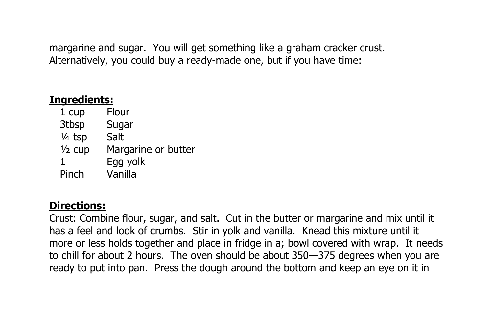margarine and sugar. You will get something like a graham cracker crust. Alternatively, you could buy a ready-made one, but if you have time:

## **Ingredients:**

1 cup Flour 3tbsp Sugar ¼ tsp Salt ½ cup Margarine or butter 1 Egg yolk Pinch Vanilla

## **Directions:**

Crust: Combine flour, sugar, and salt. Cut in the butter or margarine and mix until it has a feel and look of crumbs. Stir in yolk and vanilla. Knead this mixture until it more or less holds together and place in fridge in a; bowl covered with wrap. It needs to chill for about 2 hours. The oven should be about 350—375 degrees when you are ready to put into pan. Press the dough around the bottom and keep an eye on it in